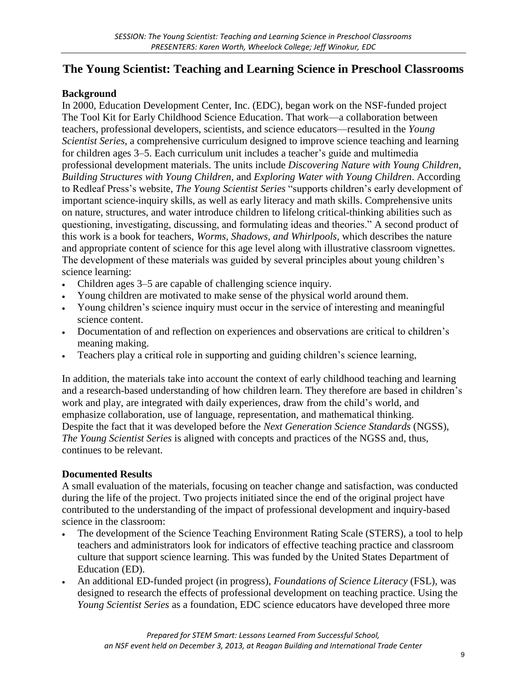# **The Young Scientist: Teaching and Learning Science in Preschool Classrooms**

### **Background**

In 2000, Education Development Center, Inc. (EDC), began work on the NSF-funded project The Tool Kit for Early Childhood Science Education. That work—a collaboration between teachers, professional developers, scientists, and science educators—resulted in the *Young Scientist Series*, a comprehensive curriculum designed to improve science teaching and learning for children ages 3–5. Each curriculum unit includes a teacher's guide and multimedia professional development materials. The units include *Discovering Nature with Young Children*, *Building Structures with Young Children,* and *Exploring Water with Young Children*. According to Redleaf Press's website, *The Young Scientist Series* "supports children's early development of important science-inquiry skills, as well as early literacy and math skills. Comprehensive units on nature, structures, and water introduce children to lifelong critical-thinking abilities such as questioning, investigating, discussing, and formulating ideas and theories." A second product of this work is a book for teachers, *Worms, Shadows, and Whirlpools,* which describes the nature and appropriate content of science for this age level along with illustrative classroom vignettes. The development of these materials was guided by several principles about young children's science learning:

- Children ages 3–5 are capable of challenging science inquiry.
- Young children are motivated to make sense of the physical world around them.
- Young children's science inquiry must occur in the service of interesting and meaningful science content.
- Documentation of and reflection on experiences and observations are critical to children's meaning making.
- Teachers play a critical role in supporting and guiding children's science learning,

In addition, the materials take into account the context of early childhood teaching and learning and a research-based understanding of how children learn. They therefore are based in children's work and play, are integrated with daily experiences, draw from the child's world, and emphasize collaboration, use of language, representation, and mathematical thinking. Despite the fact that it was developed before the *Next Generation Science Standards* (NGSS), *The Young Scientist Series* is aligned with concepts and practices of the NGSS and, thus, continues to be relevant.

## **Documented Results**

A small evaluation of the materials, focusing on teacher change and satisfaction, was conducted during the life of the project. Two projects initiated since the end of the original project have contributed to the understanding of the impact of professional development and inquiry-based science in the classroom:

- The development of the Science Teaching Environment Rating Scale (STERS), a tool to help teachers and administrators look for indicators of effective teaching practice and classroom culture that support science learning. This was funded by the United States Department of Education (ED).
- An additional ED-funded project (in progress), *Foundations of Science Literacy* (FSL), was designed to research the effects of professional development on teaching practice. Using the *Young Scientist Series* as a foundation, EDC science educators have developed three more